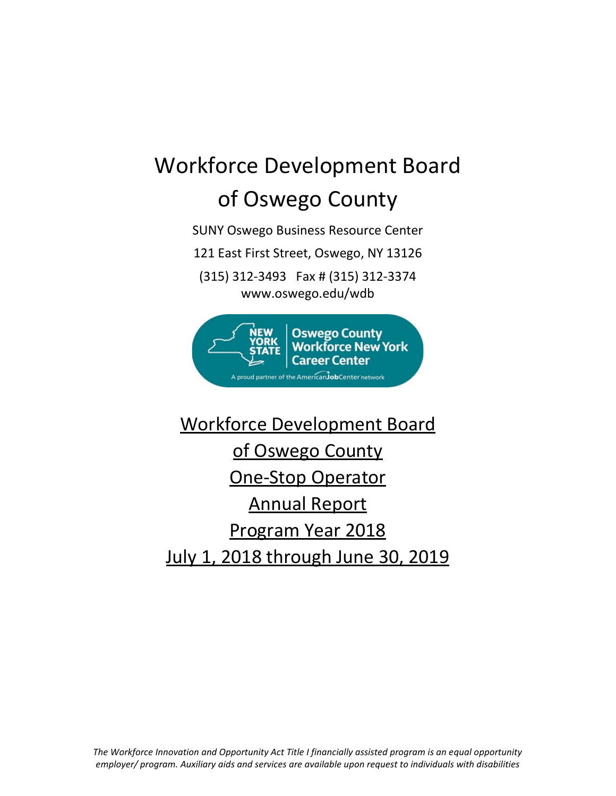# Workforce Development Board of Oswego County

SUNY Oswego Business Resource Center 121 East First Street, Oswego, NY 13126 (315) 312-3493 Fax # (315) 312-3374 [www.oswego.edu/wdb](http://www.oswego.edu/wdb)



Workforce Development Board of Oswego County One-Stop Operator Annual Report Program Year 2018 July 1, 2018 through June 30, 2019

*The Workforce Innovation and Opportunity Act Title I financially assisted program is an equal opportunity employer/ program. Auxiliary aids and services are available upon request to individuals with disabilities*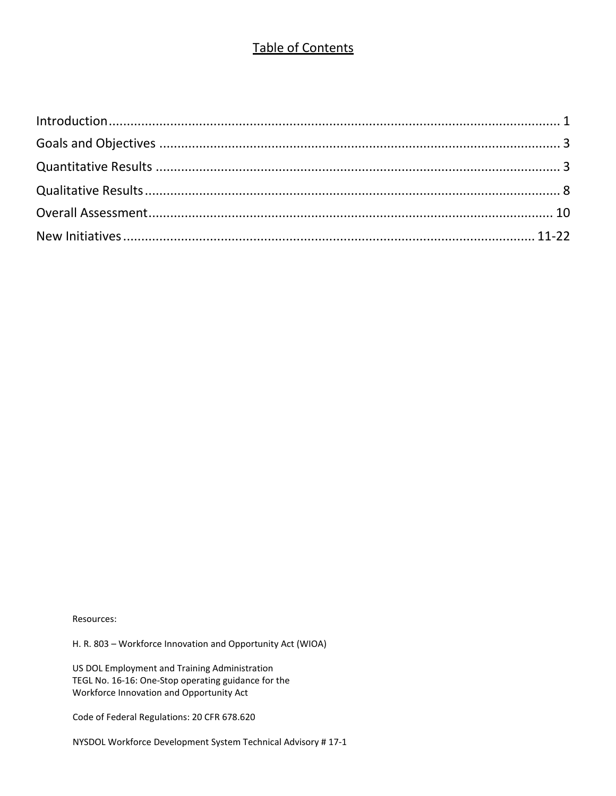# Table of Contents

Resources:

H. R. 803 – Workforce Innovation and Opportunity Act (WIOA)

US DOL Employment and Training Administration TEGL No. 16-16: One-Stop operating guidance for the Workforce Innovation and Opportunity Act

Code of Federal Regulations: 20 CFR 678.620

NYSDOL Workforce Development System Technical Advisory # 17-1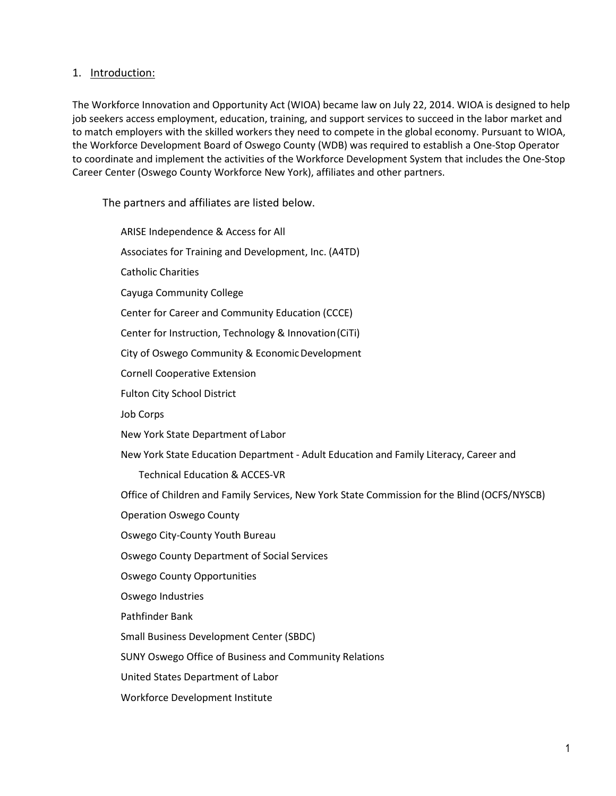#### 1. Introduction:

The [Workforce Innovation and Opportunity Act \(WIOA\)](https://www.doleta.gov/WIOA/Overview.cfm) became law on July 22, 2014. WIOA is designed to help job seekers access employment, education, training, and support services to succeed in the labor market and to match employers with the skilled workers they need to compete in the global economy. Pursuant to WIOA, the Workforce Development Board of Oswego County (WDB) was required to establish a One-Stop Operator to coordinate and implement the activities of the Workforce Development System that includes the One-Stop Career Center (Oswego County Workforce New York), affiliates and other partners.

The partners and affiliates are listed below.

ARISE Independence & Access for All Associates for Training and Development, Inc. (A4TD) Catholic Charities Cayuga Community College Center for Career and Community Education (CCCE) Center for Instruction, Technology & Innovation(CiTi) City of Oswego Community & EconomicDevelopment Cornell Cooperative Extension Fulton City School District Job Corps New York State Department of Labor New York State Education Department - Adult Education and Family Literacy, Career and Technical Education & ACCES-VR Office of Children and Family Services, New York State Commission for the Blind (OCFS/NYSCB) Operation Oswego County Oswego City-County Youth Bureau Oswego County Department of Social Services Oswego County Opportunities Oswego Industries Pathfinder Bank Small Business Development Center (SBDC)

SUNY Oswego Office of Business and Community Relations

United States Department of Labor

Workforce Development Institute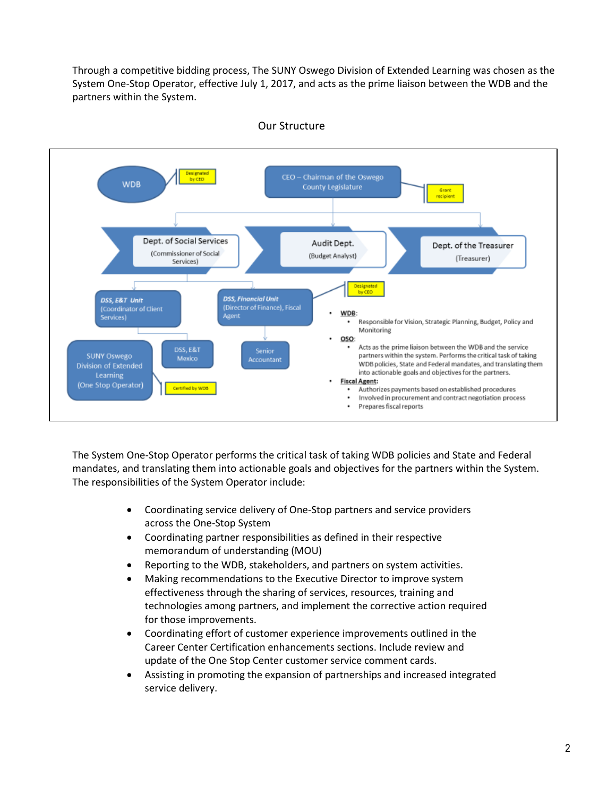Through a competitive bidding process, The SUNY Oswego Division of Extended Learning was chosen as the System One-Stop Operator, effective July 1, 2017, and acts as the prime liaison between the WDB and the partners within the System.



#### Our Structure

The System One-Stop Operator performs the critical task of taking WDB policies and State and Federal mandates, and translating them into actionable goals and objectives for the partners within the System. The responsibilities of the System Operator include:

- Coordinating service delivery of One-Stop partners and service providers across the One-Stop System
- Coordinating partner responsibilities as defined in their respective memorandum of understanding (MOU)
- Reporting to the WDB, stakeholders, and partners on system activities.
- Making recommendations to the Executive Director to improve system effectiveness through the sharing of services, resources, training and technologies among partners, and implement the corrective action required for those improvements.
- Coordinating effort of customer experience improvements outlined in the Career Center Certification enhancements sections. Include review and update of the One Stop Center customer service comment cards.
- Assisting in promoting the expansion of partnerships and increased integrated service delivery.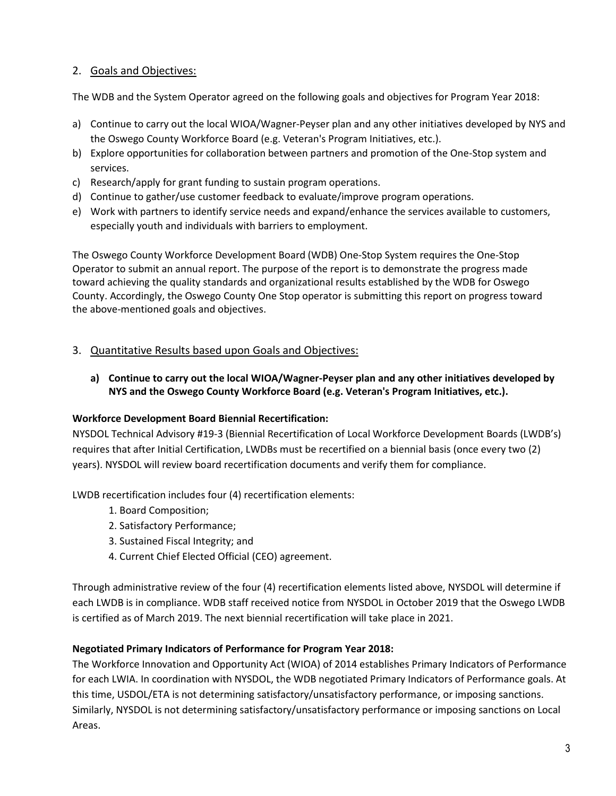### 2. Goals and Objectives:

The WDB and the System Operator agreed on the following goals and objectives for Program Year 2018:

- a) Continue to carry out the local WIOA/Wagner-Peyser plan and any other initiatives developed by NYS and the Oswego County Workforce Board (e.g. Veteran's Program Initiatives, etc.).
- b) Explore opportunities for collaboration between partners and promotion of the One-Stop system and services.
- c) Research/apply for grant funding to sustain program operations.
- d) Continue to gather/use customer feedback to evaluate/improve program operations.
- e) Work with partners to identify service needs and expand/enhance the services available to customers, especially youth and individuals with barriers to employment.

The Oswego County Workforce Development Board (WDB) One-Stop System requires the One-Stop Operator to submit an annual report. The purpose of the report is to demonstrate the progress made toward achieving the quality standards and organizational results established by the WDB for Oswego County. Accordingly, the Oswego County One Stop operator is submitting this report on progress toward the above-mentioned goals and objectives.

### 3. Quantitative Results based upon Goals and Objectives:

**a) Continue to carry out the local WIOA/Wagner-Peyser plan and any other initiatives developed by NYS and the Oswego County Workforce Board (e.g. Veteran's Program Initiatives, etc.).**

### **Workforce Development Board Biennial Recertification:**

NYSDOL Technical Advisory #19-3 (Biennial Recertification of Local Workforce Development Boards (LWDB's) requires that after Initial Certification, LWDBs must be recertified on a biennial basis (once every two (2) years). NYSDOL will review board recertification documents and verify them for compliance.

LWDB recertification includes four (4) recertification elements:

- 1. Board Composition;
- 2. Satisfactory Performance;
- 3. Sustained Fiscal Integrity; and
- 4. Current Chief Elected Official (CEO) agreement.

Through administrative review of the four (4) recertification elements listed above, NYSDOL will determine if each LWDB is in compliance. WDB staff received notice from NYSDOL in October 2019 that the Oswego LWDB is certified as of March 2019. The next biennial recertification will take place in 2021.

### **Negotiated Primary Indicators of Performance for Program Year 2018:**

The Workforce Innovation and Opportunity Act (WIOA) of 2014 establishes Primary Indicators of Performance for each LWIA. In coordination with NYSDOL, the WDB negotiated Primary Indicators of Performance goals. At this time, USDOL/ETA is not determining satisfactory/unsatisfactory performance, or imposing sanctions. Similarly, NYSDOL is not determining satisfactory/unsatisfactory performance or imposing sanctions on Local Areas.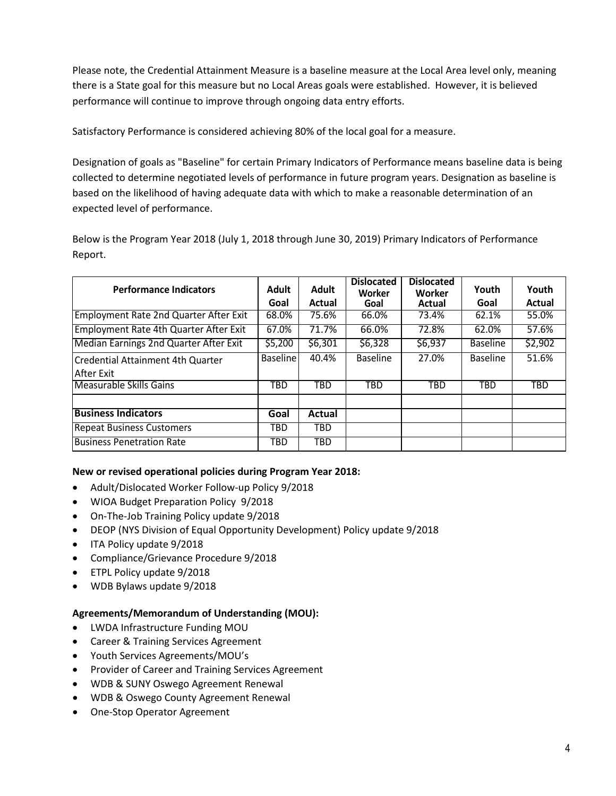Please note, the Credential Attainment Measure is a baseline measure at the Local Area level only, meaning there is a State goal for this measure but no Local Areas goals were established. However, it is believed performance will continue to improve through ongoing data entry efforts.

Satisfactory Performance is considered achieving 80% of the local goal for a measure.

Designation of goals as "Baseline" for certain Primary Indicators of Performance means baseline data is being collected to determine negotiated levels of performance in future program years. Designation as baseline is based on the likelihood of having adequate data with which to make a reasonable determination of an expected level of performance.

Below is the Program Year 2018 (July 1, 2018 through June 30, 2019) Primary Indicators of Performance Report.

| <b>Performance Indicators</b>                     | <b>Adult</b><br>Goal | <b>Adult</b><br>Actual | <b>Dislocated</b><br>Worker<br>Goal | <b>Dislocated</b><br>Worker<br>Actual | Youth<br>Goal   | Youth<br>Actual |
|---------------------------------------------------|----------------------|------------------------|-------------------------------------|---------------------------------------|-----------------|-----------------|
| <b>Employment Rate 2nd Quarter After Exit</b>     | 68.0%                | 75.6%                  | 66.0%                               | 73.4%                                 | 62.1%           | 55.0%           |
| Employment Rate 4th Quarter After Exit            | 67.0%                | 71.7%                  | 66.0%                               | 72.8%                                 | 62.0%           | 57.6%           |
| Median Earnings 2nd Quarter After Exit            | \$5,200              | \$6,301                | \$6,328                             | \$6,937                               | <b>Baseline</b> | \$2,902         |
| Credential Attainment 4th Quarter<br>l After Exit | <b>Baseline</b>      | 40.4%                  | <b>Baseline</b>                     | 27.0%                                 | <b>Baseline</b> | 51.6%           |
| Measurable Skills Gains                           | TBD                  | TBD                    | TBD                                 | TBD                                   | TBD             | <b>TBD</b>      |
| <b>Business Indicators</b>                        | Goal                 | Actual                 |                                     |                                       |                 |                 |
| <b>Repeat Business Customers</b>                  | TBD                  | TBD                    |                                     |                                       |                 |                 |
| <b>Business Penetration Rate</b>                  | TBD                  | TBD                    |                                     |                                       |                 |                 |

### **New or revised operational policies during Program Year 2018:**

- Adult/Dislocated Worker Follow-up Policy 9/2018
- WIOA Budget Preparation Policy 9/2018
- On-The-Job Training Policy update 9/2018
- DEOP (NYS Division of Equal Opportunity Development) Policy update 9/2018
- ITA Policy update 9/2018
- Compliance/Grievance Procedure 9/2018
- ETPL Policy update 9/2018
- WDB Bylaws update 9/2018

#### **Agreements/Memorandum of Understanding (MOU):**

- LWDA Infrastructure Funding MOU
- Career & Training Services Agreement
- Youth Services Agreements/MOU's
- Provider of Career and Training Services Agreement
- WDB & SUNY Oswego Agreement Renewal
- WDB & Oswego County Agreement Renewal
- One-Stop Operator Agreement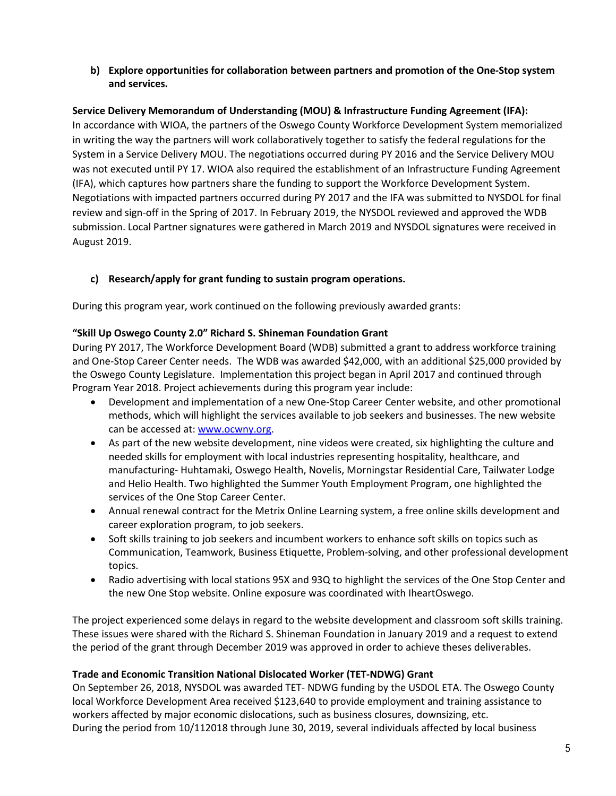**b) Explore opportunities for collaboration between partners and promotion of the One-Stop system and services.**

#### **Service Delivery Memorandum of Understanding (MOU) & Infrastructure Funding Agreement (IFA):**

In accordance with WIOA, the partners of the Oswego County Workforce Development System memorialized in writing the way the partners will work collaboratively together to satisfy the federal regulations for the System in a Service Delivery MOU. The negotiations occurred during PY 2016 and the Service Delivery MOU was not executed until PY 17. WIOA also required the establishment of an Infrastructure Funding Agreement (IFA), which captures how partners share the funding to support the Workforce Development System. Negotiations with impacted partners occurred during PY 2017 and the IFA was submitted to NYSDOL for final review and sign-off in the Spring of 2017. In February 2019, the NYSDOL reviewed and approved the WDB submission. Local Partner signatures were gathered in March 2019 and NYSDOL signatures were received in August 2019.

### **c) Research/apply for grant funding to sustain program operations.**

During this program year, work continued on the following previously awarded grants:

#### **"Skill Up Oswego County 2.0" Richard S. Shineman Foundation Grant**

During PY 2017, The Workforce Development Board (WDB) submitted a grant to address workforce training and One-Stop Career Center needs. The WDB was awarded \$42,000, with an additional \$25,000 provided by the Oswego County Legislature. Implementation this project began in April 2017 and continued through Program Year 2018. Project achievements during this program year include:

- Development and implementation of a new One-Stop Career Center website, and other promotional methods, which will highlight the services available to job seekers and businesses. The new website can be accessed at[: www.ocwny.org.](http://www.ocwny.org/)
- As part of the new website development, nine videos were created, six highlighting the culture and needed skills for employment with local industries representing hospitality, healthcare, and manufacturing- Huhtamaki, Oswego Health, Novelis, Morningstar Residential Care, Tailwater Lodge and Helio Health. Two highlighted the Summer Youth Employment Program, one highlighted the services of the One Stop Career Center.
- Annual renewal contract for the Metrix Online Learning system, a free online skills development and career exploration program, to job seekers.
- Soft skills training to job seekers and incumbent workers to enhance soft skills on topics such as Communication, Teamwork, Business Etiquette, Problem-solving, and other professional development topics.
- Radio advertising with local stations 95X and 93Q to highlight the services of the One Stop Center and the new One Stop website. Online exposure was coordinated with IheartOswego.

The project experienced some delays in regard to the website development and classroom soft skills training. These issues were shared with the Richard S. Shineman Foundation in January 2019 and a request to extend the period of the grant through December 2019 was approved in order to achieve theses deliverables.

### **Trade and Economic Transition National Dislocated Worker (TET-NDWG) Grant**

On September 26, 2018, NYSDOL was awarded TET- NDWG funding by the USDOL ETA. The Oswego County local Workforce Development Area received \$123,640 to provide employment and training assistance to workers affected by major economic dislocations, such as business closures, downsizing, etc. During the period from 10/112018 through June 30, 2019, several individuals affected by local business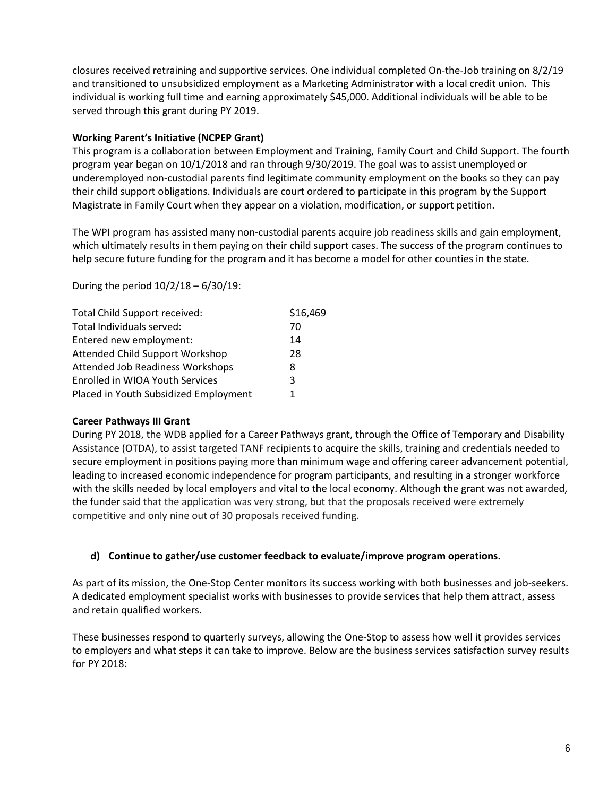closures received retraining and supportive services. One individual completed On-the-Job training on 8/2/19 and transitioned to unsubsidized employment as a Marketing Administrator with a local credit union. This individual is working full time and earning approximately \$45,000. Additional individuals will be able to be served through this grant during PY 2019.

### **Working Parent's Initiative (NCPEP Grant)**

This program is a collaboration between Employment and Training, Family Court and Child Support. The fourth program year began on 10/1/2018 and ran through 9/30/2019. The goal was to assist unemployed or underemployed non-custodial parents find legitimate community employment on the books so they can pay their child support obligations. Individuals are court ordered to participate in this program by the Support Magistrate in Family Court when they appear on a violation, modification, or support petition.

The WPI program has assisted many non-custodial parents acquire job readiness skills and gain employment, which ultimately results in them paying on their child support cases. The success of the program continues to help secure future funding for the program and it has become a model for other counties in the state.

During the period 10/2/18 – 6/30/19:

| Total Child Support received:         | \$16,469 |
|---------------------------------------|----------|
| Total Individuals served:             | 70       |
| Entered new employment:               | 14       |
| Attended Child Support Workshop       | 28       |
| Attended Job Readiness Workshops      | 8        |
| Enrolled in WIOA Youth Services       | 3        |
| Placed in Youth Subsidized Employment |          |

### **Career Pathways III Grant**

During PY 2018, the WDB applied for a Career Pathways grant, through the Office of Temporary and Disability Assistance (OTDA), to assist targeted TANF recipients to acquire the skills, training and credentials needed to secure employment in positions paying more than minimum wage and offering career advancement potential, leading to increased economic independence for program participants, and resulting in a stronger workforce with the skills needed by local employers and vital to the local economy. Although the grant was not awarded, the funder said that the application was very strong, but that the proposals received were extremely competitive and only nine out of 30 proposals received funding.

### **d) Continue to gather/use customer feedback to evaluate/improve program operations.**

As part of its mission, the One-Stop Center monitors its success working with both businesses and job-seekers. A dedicated employment specialist works with businesses to provide services that help them attract, assess and retain qualified workers.

These businesses respond to quarterly surveys, allowing the One-Stop to assess how well it provides services to employers and what steps it can take to improve. Below are the business services satisfaction survey results for PY 2018: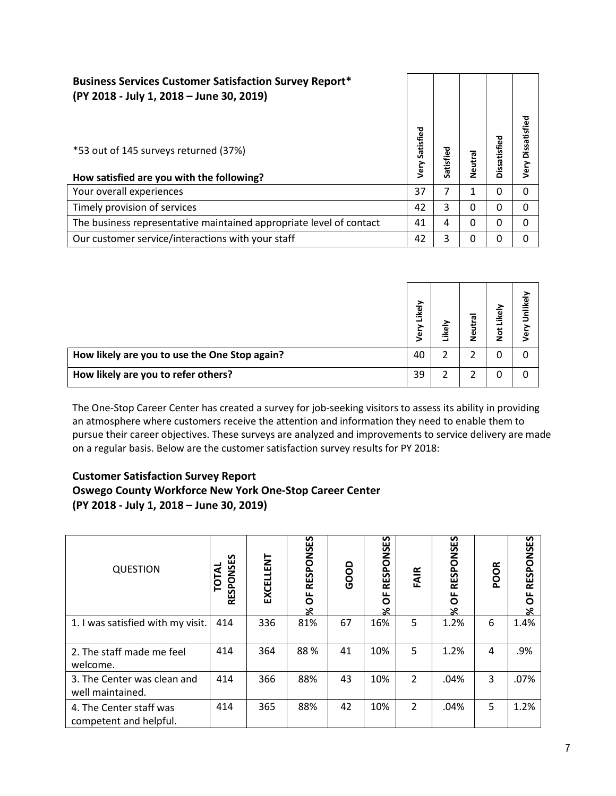| <b>Business Services Customer Satisfaction Survey Report*</b><br>(PY 2018 - July 1, 2018 - June 30, 2019)<br>*53 out of 145 surveys returned (37%) | Satisfied<br>Very | Satisfied | Neutral | Dissatisfied | Dissatisfied<br>Very |
|----------------------------------------------------------------------------------------------------------------------------------------------------|-------------------|-----------|---------|--------------|----------------------|
| How satisfied are you with the following?                                                                                                          |                   |           |         |              |                      |
| Your overall experiences                                                                                                                           | 37                | 7         | 1       | 0            | 0                    |
| Timely provision of services                                                                                                                       | 42                | 3         | 0       | 0            | 0                    |
| The business representative maintained appropriate level of contact                                                                                | 41                | 4         | 0       | 0            | 0                    |
| Our customer service/interactions with your staff                                                                                                  | 42                | 3         | 0       | $\Omega$     | 0                    |

|                                               | Likely<br>ۊ | Likely | Neutral | Not Likely | Unlikel<br>jer |
|-----------------------------------------------|-------------|--------|---------|------------|----------------|
| How likely are you to use the One Stop again? | 40          |        |         | 0          |                |
| How likely are you to refer others?           | 39          |        |         | 0          |                |

The One-Stop Career Center has created a survey for job-seeking visitors to assess its ability in providing an atmosphere where customers receive the attention and information they need to enable them to pursue their career objectives. These surveys are analyzed and improvements to service delivery are made on a regular basis. Below are the customer satisfaction survey results for PY 2018:

## **Customer Satisfaction Survey Report Oswego County Workforce New York One-Stop Career Center (PY 2018 - July 1, 2018 – June 30, 2019)**

| <b>QUESTION</b>                                   | RESPONSES<br>TOTAL | EXCELLENT | RESPONSES<br>ŏ<br>৯ৎ | GOOD | RESPONSES<br>щ<br>O<br>ৼ | FAIR          | RESPONSES<br>ŏ<br>ৼ | <b>POOR</b> | S<br>RESPONSE<br>O<br>৯ |
|---------------------------------------------------|--------------------|-----------|----------------------|------|--------------------------|---------------|---------------------|-------------|-------------------------|
| 1. I was satisfied with my visit.                 | 414                | 336       | 81%                  | 67   | 16%                      | 5             | 1.2%                | 6           | 1.4%                    |
| 2. The staff made me feel<br>welcome.             | 414                | 364       | 88 %                 | 41   | 10%                      | 5             | 1.2%                | 4           | .9%                     |
| 3. The Center was clean and<br>well maintained.   | 414                | 366       | 88%                  | 43   | 10%                      | $\mathcal{P}$ | .04%                | 3           | .07%                    |
| 4. The Center staff was<br>competent and helpful. | 414                | 365       | 88%                  | 42   | 10%                      | $\mathcal{P}$ | .04%                | 5           | 1.2%                    |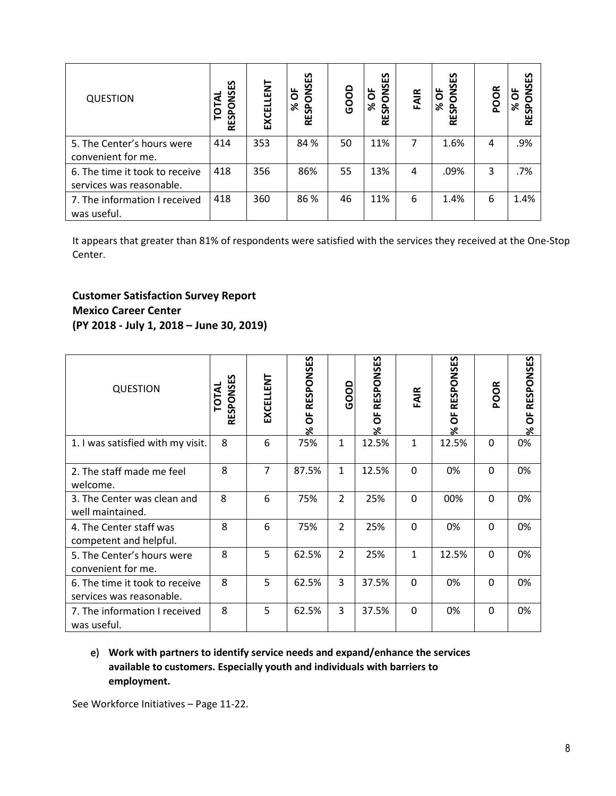| <b>QUESTION</b>                                            | RESPONSES<br>đ<br>TOT | EXCELLENT | RESPONSES<br>ŏ<br>ৼ | GOOD | ပြ<br>RESPONS<br>ŏ<br>ৼ | FAIR | ပ္မ<br>$\overline{5}$<br>щ<br>O<br>RESPO<br>৯ | <b>POOR</b> | ပ္မ<br>RESPONS<br>% OF |
|------------------------------------------------------------|-----------------------|-----------|---------------------|------|-------------------------|------|-----------------------------------------------|-------------|------------------------|
| 5. The Center's hours were<br>convenient for me.           | 414                   | 353       | 84 %                | 50   | 11%                     | 7    | 1.6%                                          | 4           | .9%                    |
| 6. The time it took to receive<br>services was reasonable. | 418                   | 356       | 86%                 | 55   | 13%                     | 4    | .09%                                          | 3           | .7%                    |
| 7. The information I received<br>was useful.               | 418                   | 360       | 86 %                | 46   | 11%                     | 6    | 1.4%                                          | 6           | 1.4%                   |

It appears that greater than 81% of respondents were satisfied with the services they received at the One-Stop Center.

### **Customer Satisfaction Survey Report Mexico Career Center**

### **(PY 2018 - July 1, 2018 – June 30, 2019)**

| <b>QUESTION</b>                                            | RESPONSES<br><b>TOTAL</b> | EXCELLENT | OF RESPONSES<br>ৼ | GOOD           | RESPONSES<br>ŏ<br>ৼ | FAIR         | n<br>RESPONSE<br>ŏ<br>৯ | <b>POOR</b> | n<br>RESPONSE<br>щ<br>O<br>ৼ |
|------------------------------------------------------------|---------------------------|-----------|-------------------|----------------|---------------------|--------------|-------------------------|-------------|------------------------------|
| 1. I was satisfied with my visit.                          | 8                         | 6         | 75%               | 1              | 12.5%               | $\mathbf{1}$ | 12.5%                   | $\Omega$    | 0%                           |
| 2. The staff made me feel<br>welcome.                      | 8                         | 7         | 87.5%             | $\mathbf{1}$   | 12.5%               | $\Omega$     | 0%                      | $\Omega$    | 0%                           |
| 3. The Center was clean and<br>well maintained.            | 8                         | 6         | 75%               | $\overline{2}$ | 25%                 | $\Omega$     | 00%                     | $\Omega$    | 0%                           |
| 4. The Center staff was<br>competent and helpful.          | 8                         | 6         | 75%               | $\overline{2}$ | 25%                 | $\Omega$     | 0%                      | $\Omega$    | 0%                           |
| 5. The Center's hours were<br>convenient for me.           | 8                         | 5         | 62.5%             | $\overline{2}$ | 25%                 | $\mathbf{1}$ | 12.5%                   | $\Omega$    | 0%                           |
| 6. The time it took to receive<br>services was reasonable. | 8                         | 5         | 62.5%             | 3              | 37.5%               | $\Omega$     | 0%                      | $\Omega$    | 0%                           |
| 7. The information I received<br>was useful.               | 8                         | 5         | 62.5%             | 3              | 37.5%               | $\Omega$     | 0%                      | $\Omega$    | 0%                           |

### e) **Work with partners to identify service needs and expand/enhance the services available to customers. Especially youth and individuals with barriers to employment.**

See Workforce Initiatives – Page 11-22.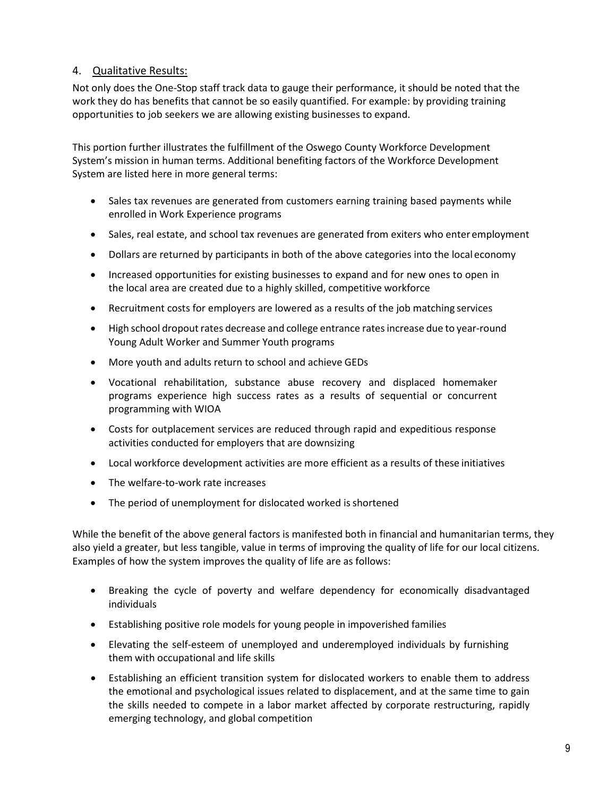### 4. Qualitative Results:

Not only does the One-Stop staff track data to gauge their performance, it should be noted that the work they do has benefits that cannot be so easily quantified. For example: by providing training opportunities to job seekers we are allowing existing businesses to expand.

This portion further illustrates the fulfillment of the Oswego County Workforce Development System's mission in human terms. Additional benefiting factors of the Workforce Development System are listed here in more general terms:

- Sales tax revenues are generated from customers earning training based payments while enrolled in Work Experience programs
- Sales, real estate, and school tax revenues are generated from exiters who enter employment
- Dollars are returned by participants in both of the above categories into the local economy
- Increased opportunities for existing businesses to expand and for new ones to open in the local area are created due to a highly skilled, competitive workforce
- Recruitment costs for employers are lowered as a results of the job matching services
- High school dropout rates decrease and college entrance rates increase due to year-round Young Adult Worker and Summer Youth programs
- More youth and adults return to school and achieve GEDs
- Vocational rehabilitation, substance abuse recovery and displaced homemaker programs experience high success rates as a results of sequential or concurrent programming with WIOA
- Costs for outplacement services are reduced through rapid and expeditious response activities conducted for employers that are downsizing
- Local workforce development activities are more efficient as a results of these initiatives
- The welfare-to-work rate increases
- The period of unemployment for dislocated worked is shortened

While the benefit of the above general factors is manifested both in financial and humanitarian terms, they also yield a greater, but less tangible, value in terms of improving the quality of life for our local citizens. Examples of how the system improves the quality of life are as follows:

- Breaking the cycle of poverty and welfare dependency for economically disadvantaged individuals
- Establishing positive role models for young people in impoverished families
- Elevating the self-esteem of unemployed and underemployed individuals by furnishing them with occupational and life skills
- Establishing an efficient transition system for dislocated workers to enable them to address the emotional and psychological issues related to displacement, and at the same time to gain the skills needed to compete in a labor market affected by corporate restructuring, rapidly emerging technology, and global competition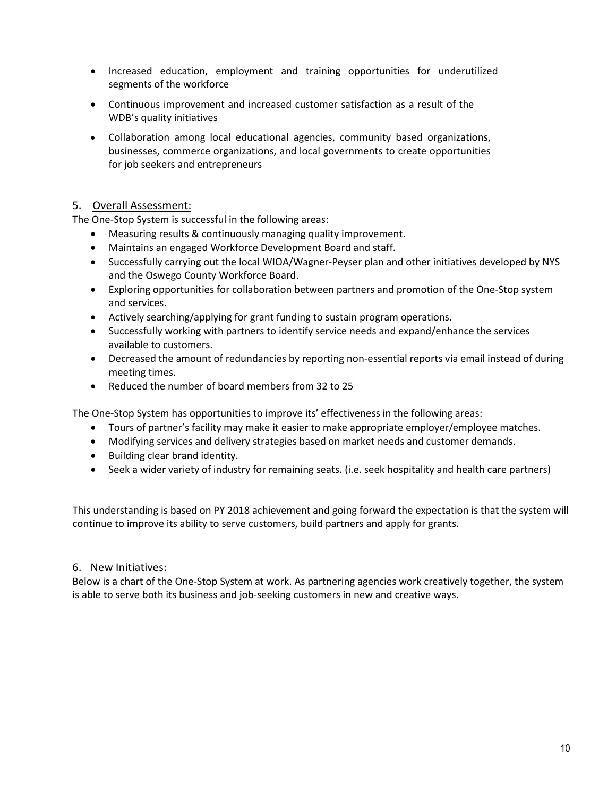- Increased education, employment and training opportunities for underutilized segments of the workforce
- Continuous improvement and increased customer satisfaction as a result of the WDB's quality initiatives
- Collaboration among local educational agencies, community based organizations, businesses, commerce organizations, and local governments to create opportunities for job seekers and entrepreneurs

### 5. Overall Assessment:

The One-Stop System is successful in the following areas:

- Measuring results & continuously managing quality improvement.
- Maintains an engaged Workforce Development Board and staff.
- Successfully carrying out the local WIOA/Wagner-Peyser plan and other initiatives developed by NYS and the Oswego County Workforce Board.
- Exploring opportunities for collaboration between partners and promotion of the One-Stop system and services.
- Actively searching/applying for grant funding to sustain program operations.
- Successfully working with partners to identify service needs and expand/enhance the services available to customers.
- Decreased the amount of redundancies by reporting non-essential reports via email instead of during meeting times.
- Reduced the number of board members from 32 to 25

The One-Stop System has opportunities to improve its' effectiveness in the following areas:

- Tours of partner's facility may make it easier to make appropriate employer/employee matches.
- Modifying services and delivery strategies based on market needs and customer demands.
- Building clear brand identity.
- Seek a wider variety of industry for remaining seats. (i.e. seek hospitality and health care partners)

This understanding is based on PY 2018 achievement and going forward the expectation is that the system will continue to improve its ability to serve customers, build partners and apply for grants.

### 6. New Initiatives:

Below is a chart of the One-Stop System at work. As partnering agencies work creatively together, the system is able to serve both its business and job-seeking customers in new and creative ways.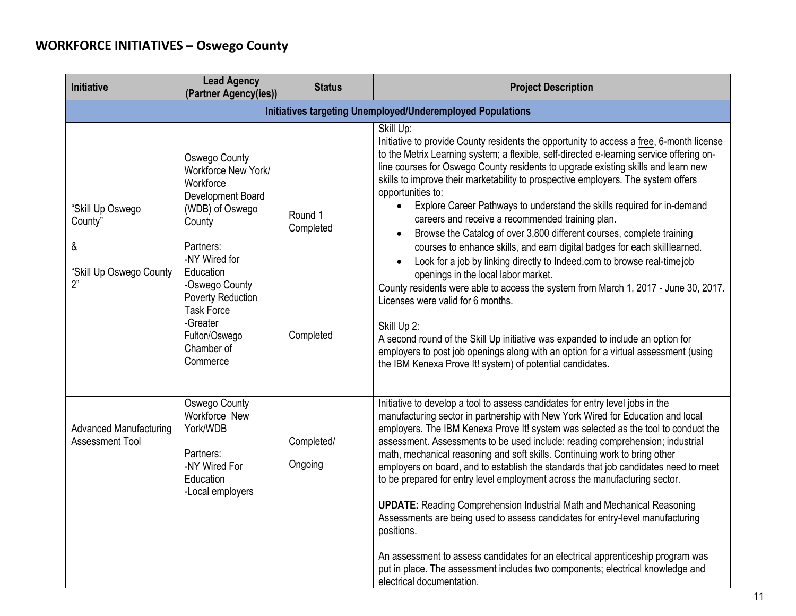| <b>Initiative</b>                                                 | <b>Lead Agency</b><br>(Partner Agency(ies))                                                                                                                                                                                                                              | <b>Status</b>                     | <b>Project Description</b>                                                                                                                                                                                                                                                                                                                                                                                                                                                                                                                                                                                                                                                                                                                                                                                                                                                                                                                                                                                                                                                                                                                                                                                                        |
|-------------------------------------------------------------------|--------------------------------------------------------------------------------------------------------------------------------------------------------------------------------------------------------------------------------------------------------------------------|-----------------------------------|-----------------------------------------------------------------------------------------------------------------------------------------------------------------------------------------------------------------------------------------------------------------------------------------------------------------------------------------------------------------------------------------------------------------------------------------------------------------------------------------------------------------------------------------------------------------------------------------------------------------------------------------------------------------------------------------------------------------------------------------------------------------------------------------------------------------------------------------------------------------------------------------------------------------------------------------------------------------------------------------------------------------------------------------------------------------------------------------------------------------------------------------------------------------------------------------------------------------------------------|
|                                                                   |                                                                                                                                                                                                                                                                          |                                   | <b>Initiatives targeting Unemployed/Underemployed Populations</b>                                                                                                                                                                                                                                                                                                                                                                                                                                                                                                                                                                                                                                                                                                                                                                                                                                                                                                                                                                                                                                                                                                                                                                 |
| "Skill Up Oswego<br>County"<br>&<br>"Skill Up Oswego County<br>2" | <b>Oswego County</b><br>Workforce New York/<br>Workforce<br>Development Board<br>(WDB) of Oswego<br>County<br>Partners:<br>-NY Wired for<br>Education<br>-Oswego County<br>Poverty Reduction<br><b>Task Force</b><br>-Greater<br>Fulton/Oswego<br>Chamber of<br>Commerce | Round 1<br>Completed<br>Completed | Skill Up:<br>Initiative to provide County residents the opportunity to access a free, 6-month license<br>to the Metrix Learning system; a flexible, self-directed e-learning service offering on-<br>line courses for Oswego County residents to upgrade existing skills and learn new<br>skills to improve their marketability to prospective employers. The system offers<br>opportunities to:<br>Explore Career Pathways to understand the skills required for in-demand<br>$\bullet$<br>careers and receive a recommended training plan.<br>Browse the Catalog of over 3,800 different courses, complete training<br>$\bullet$<br>courses to enhance skills, and earn digital badges for each skilllearned.<br>Look for a job by linking directly to Indeed.com to browse real-time job<br>$\bullet$<br>openings in the local labor market.<br>County residents were able to access the system from March 1, 2017 - June 30, 2017.<br>Licenses were valid for 6 months.<br>Skill Up 2:<br>A second round of the Skill Up initiative was expanded to include an option for<br>employers to post job openings along with an option for a virtual assessment (using<br>the IBM Kenexa Prove It! system) of potential candidates. |
| <b>Advanced Manufacturing</b><br>Assessment Tool                  | <b>Oswego County</b><br>Workforce New<br>York/WDB<br>Partners:<br>-NY Wired For<br>Education<br>-Local employers                                                                                                                                                         | Completed/<br>Ongoing             | Initiative to develop a tool to assess candidates for entry level jobs in the<br>manufacturing sector in partnership with New York Wired for Education and local<br>employers. The IBM Kenexa Prove It! system was selected as the tool to conduct the<br>assessment. Assessments to be used include: reading comprehension; industrial<br>math, mechanical reasoning and soft skills. Continuing work to bring other<br>employers on board, and to establish the standards that job candidates need to meet<br>to be prepared for entry level employment across the manufacturing sector.<br><b>UPDATE:</b> Reading Comprehension Industrial Math and Mechanical Reasoning<br>Assessments are being used to assess candidates for entry-level manufacturing<br>positions.<br>An assessment to assess candidates for an electrical apprenticeship program was<br>put in place. The assessment includes two components; electrical knowledge and<br>electrical documentation.                                                                                                                                                                                                                                                      |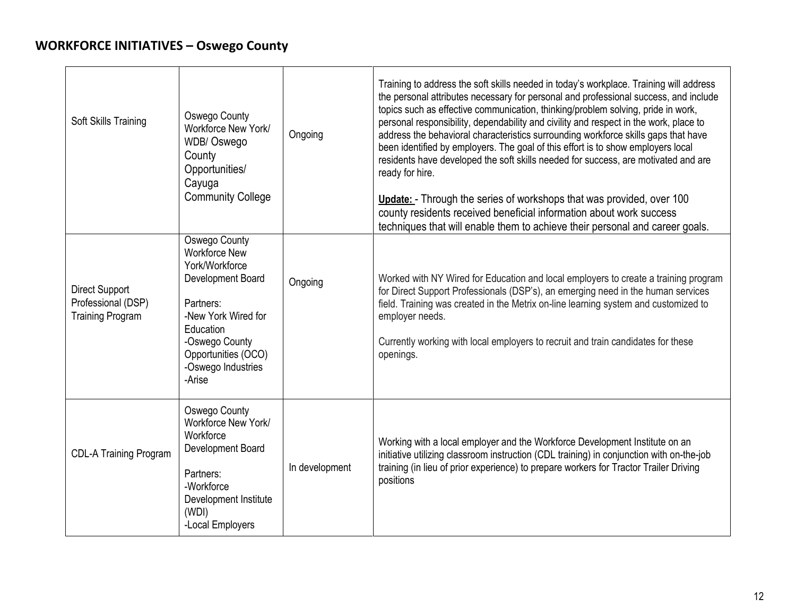| Soft Skills Training                                            | Oswego County<br>Workforce New York/<br>WDB/ Oswego<br>County<br>Opportunities/<br>Cayuga<br><b>Community College</b>                                                                                         | Ongoing        | Training to address the soft skills needed in today's workplace. Training will address<br>the personal attributes necessary for personal and professional success, and include<br>topics such as effective communication, thinking/problem solving, pride in work,<br>personal responsibility, dependability and civility and respect in the work, place to<br>address the behavioral characteristics surrounding workforce skills gaps that have<br>been identified by employers. The goal of this effort is to show employers local<br>residents have developed the soft skills needed for success, are motivated and are<br>ready for hire.<br>Update: - Through the series of workshops that was provided, over 100<br>county residents received beneficial information about work success<br>techniques that will enable them to achieve their personal and career goals. |
|-----------------------------------------------------------------|---------------------------------------------------------------------------------------------------------------------------------------------------------------------------------------------------------------|----------------|--------------------------------------------------------------------------------------------------------------------------------------------------------------------------------------------------------------------------------------------------------------------------------------------------------------------------------------------------------------------------------------------------------------------------------------------------------------------------------------------------------------------------------------------------------------------------------------------------------------------------------------------------------------------------------------------------------------------------------------------------------------------------------------------------------------------------------------------------------------------------------|
| Direct Support<br>Professional (DSP)<br><b>Training Program</b> | <b>Oswego County</b><br><b>Workforce New</b><br>York/Workforce<br>Development Board<br>Partners:<br>-New York Wired for<br>Education<br>-Oswego County<br>Opportunities (OCO)<br>-Oswego Industries<br>-Arise | Ongoing        | Worked with NY Wired for Education and local employers to create a training program<br>for Direct Support Professionals (DSP's), an emerging need in the human services<br>field. Training was created in the Metrix on-line learning system and customized to<br>employer needs.<br>Currently working with local employers to recruit and train candidates for these<br>openings.                                                                                                                                                                                                                                                                                                                                                                                                                                                                                             |
| <b>CDL-A Training Program</b>                                   | Oswego County<br>Workforce New York/<br>Workforce<br>Development Board<br>Partners:<br>-Workforce<br>Development Institute<br>(WDI)<br>-Local Employers                                                       | In development | Working with a local employer and the Workforce Development Institute on an<br>initiative utilizing classroom instruction (CDL training) in conjunction with on-the-job<br>training (in lieu of prior experience) to prepare workers for Tractor Trailer Driving<br>positions                                                                                                                                                                                                                                                                                                                                                                                                                                                                                                                                                                                                  |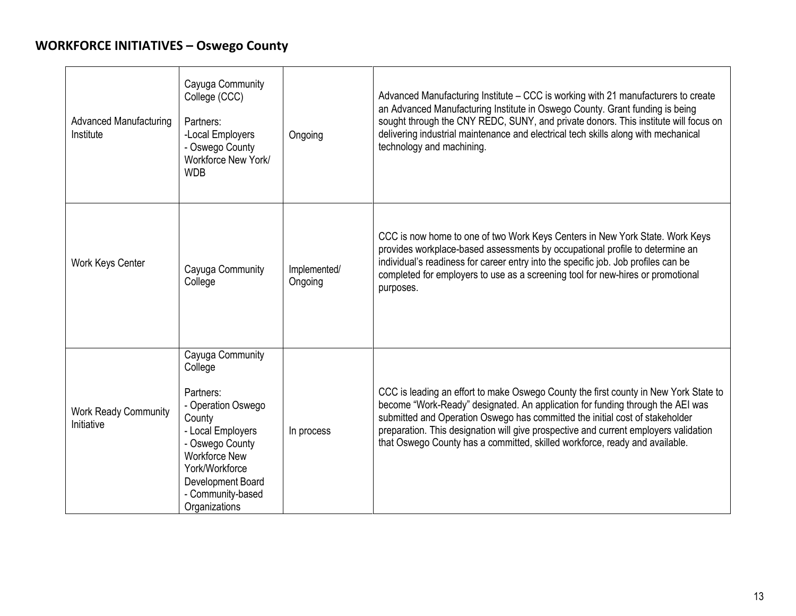| <b>Advanced Manufacturing</b><br>Institute | Cayuga Community<br>College (CCC)<br>Partners:<br>-Local Employers<br>- Oswego County<br>Workforce New York/<br><b>WDB</b>                                                                                            | Ongoing                 | Advanced Manufacturing Institute – CCC is working with 21 manufacturers to create<br>an Advanced Manufacturing Institute in Oswego County. Grant funding is being<br>sought through the CNY REDC, SUNY, and private donors. This institute will focus on<br>delivering industrial maintenance and electrical tech skills along with mechanical<br>technology and machining.                                                   |
|--------------------------------------------|-----------------------------------------------------------------------------------------------------------------------------------------------------------------------------------------------------------------------|-------------------------|-------------------------------------------------------------------------------------------------------------------------------------------------------------------------------------------------------------------------------------------------------------------------------------------------------------------------------------------------------------------------------------------------------------------------------|
| Work Keys Center                           | Cayuga Community<br>College                                                                                                                                                                                           | Implemented/<br>Ongoing | CCC is now home to one of two Work Keys Centers in New York State. Work Keys<br>provides workplace-based assessments by occupational profile to determine an<br>individual's readiness for career entry into the specific job. Job profiles can be<br>completed for employers to use as a screening tool for new-hires or promotional<br>purposes.                                                                            |
| <b>Work Ready Community</b><br>Initiative  | Cayuga Community<br>College<br>Partners:<br>- Operation Oswego<br>County<br>- Local Employers<br>- Oswego County<br><b>Workforce New</b><br>York/Workforce<br>Development Board<br>- Community-based<br>Organizations | In process              | CCC is leading an effort to make Oswego County the first county in New York State to<br>become "Work-Ready" designated. An application for funding through the AEI was<br>submitted and Operation Oswego has committed the initial cost of stakeholder<br>preparation. This designation will give prospective and current employers validation<br>that Oswego County has a committed, skilled workforce, ready and available. |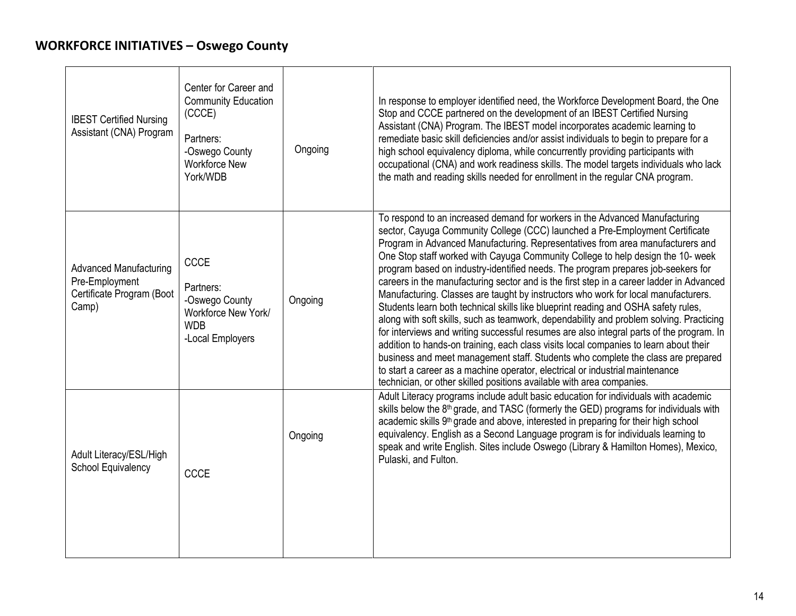| <b>IBEST Certified Nursing</b><br>Assistant (CNA) Program                             | Center for Career and<br><b>Community Education</b><br>(CCCE)<br>Partners:<br>-Oswego County<br><b>Workforce New</b><br>York/WDB | Ongoing | In response to employer identified need, the Workforce Development Board, the One<br>Stop and CCCE partnered on the development of an IBEST Certified Nursing<br>Assistant (CNA) Program. The IBEST model incorporates academic learning to<br>remediate basic skill deficiencies and/or assist individuals to begin to prepare for a<br>high school equivalency diploma, while concurrently providing participants with<br>occupational (CNA) and work readiness skills. The model targets individuals who lack<br>the math and reading skills needed for enrollment in the regular CNA program.                                                                                                                                                                                                                                                                                                                                                                                                                                                                                                                                                                                                                          |
|---------------------------------------------------------------------------------------|----------------------------------------------------------------------------------------------------------------------------------|---------|----------------------------------------------------------------------------------------------------------------------------------------------------------------------------------------------------------------------------------------------------------------------------------------------------------------------------------------------------------------------------------------------------------------------------------------------------------------------------------------------------------------------------------------------------------------------------------------------------------------------------------------------------------------------------------------------------------------------------------------------------------------------------------------------------------------------------------------------------------------------------------------------------------------------------------------------------------------------------------------------------------------------------------------------------------------------------------------------------------------------------------------------------------------------------------------------------------------------------|
| <b>Advanced Manufacturing</b><br>Pre-Employment<br>Certificate Program (Boot<br>Camp) | <b>CCCE</b><br>Partners:<br>-Oswego County<br>Workforce New York/<br><b>WDB</b><br>-Local Employers                              | Ongoing | To respond to an increased demand for workers in the Advanced Manufacturing<br>sector, Cayuga Community College (CCC) launched a Pre-Employment Certificate<br>Program in Advanced Manufacturing. Representatives from area manufacturers and<br>One Stop staff worked with Cayuga Community College to help design the 10- week<br>program based on industry-identified needs. The program prepares job-seekers for<br>careers in the manufacturing sector and is the first step in a career ladder in Advanced<br>Manufacturing. Classes are taught by instructors who work for local manufacturers.<br>Students learn both technical skills like blueprint reading and OSHA safety rules,<br>along with soft skills, such as teamwork, dependability and problem solving. Practicing<br>for interviews and writing successful resumes are also integral parts of the program. In<br>addition to hands-on training, each class visits local companies to learn about their<br>business and meet management staff. Students who complete the class are prepared<br>to start a career as a machine operator, electrical or industrial maintenance<br>technician, or other skilled positions available with area companies. |
| Adult Literacy/ESL/High<br>School Equivalency                                         | <b>CCCE</b>                                                                                                                      | Ongoing | Adult Literacy programs include adult basic education for individuals with academic<br>skills below the 8 <sup>th</sup> grade, and TASC (formerly the GED) programs for individuals with<br>academic skills 9 <sup>th</sup> grade and above, interested in preparing for their high school<br>equivalency. English as a Second Language program is for individuals learning to<br>speak and write English. Sites include Oswego (Library & Hamilton Homes), Mexico,<br>Pulaski, and Fulton.                                                                                                                                                                                                                                                                                                                                                                                                                                                                                                                                                                                                                                                                                                                                |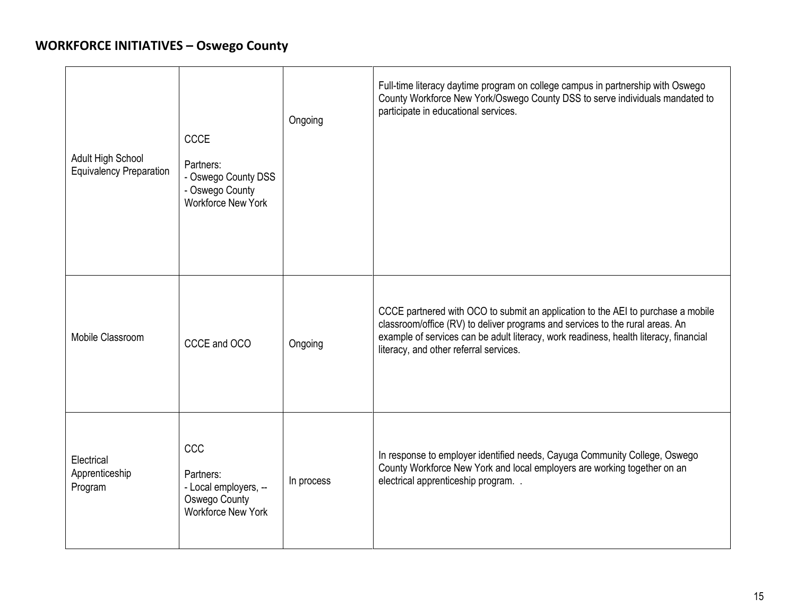$\overline{a}$ 

| Adult High School<br><b>Equivalency Preparation</b> | CCCE<br>Partners:<br>- Oswego County DSS<br>- Oswego County<br><b>Workforce New York</b>       | Ongoing    | Full-time literacy daytime program on college campus in partnership with Oswego<br>County Workforce New York/Oswego County DSS to serve individuals mandated to<br>participate in educational services.                                                                                              |
|-----------------------------------------------------|------------------------------------------------------------------------------------------------|------------|------------------------------------------------------------------------------------------------------------------------------------------------------------------------------------------------------------------------------------------------------------------------------------------------------|
| Mobile Classroom                                    | CCCE and OCO                                                                                   | Ongoing    | CCCE partnered with OCO to submit an application to the AEI to purchase a mobile<br>classroom/office (RV) to deliver programs and services to the rural areas. An<br>example of services can be adult literacy, work readiness, health literacy, financial<br>literacy, and other referral services. |
| Electrical<br>Apprenticeship<br>Program             | <b>CCC</b><br>Partners:<br>- Local employers, --<br>Oswego County<br><b>Workforce New York</b> | In process | In response to employer identified needs, Cayuga Community College, Oswego<br>County Workforce New York and local employers are working together on an<br>electrical apprenticeship program                                                                                                          |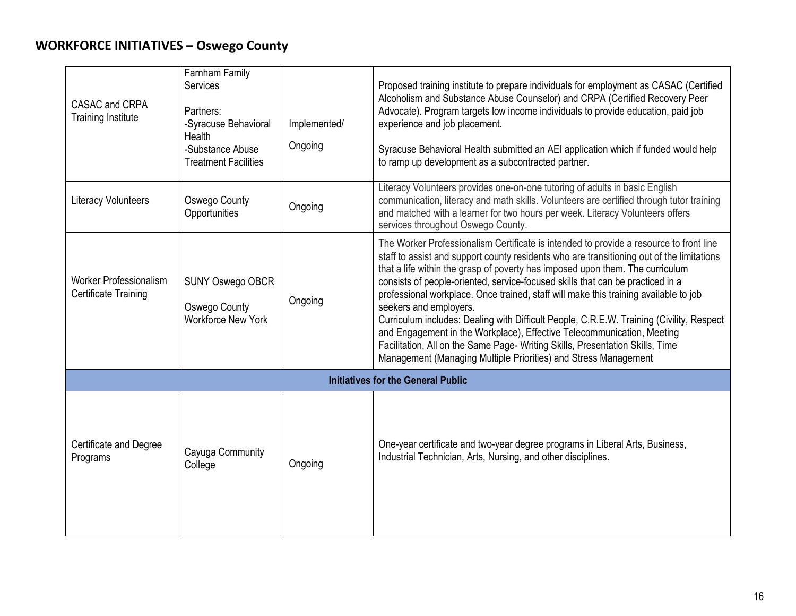| CASAC and CRPA<br><b>Training Institute</b>    | Farnham Family<br>Services<br>Partners:<br>-Syracuse Behavioral<br>Health<br>-Substance Abuse<br><b>Treatment Facilities</b> | Implemented/<br>Ongoing | Proposed training institute to prepare individuals for employment as CASAC (Certified<br>Alcoholism and Substance Abuse Counselor) and CRPA (Certified Recovery Peer<br>Advocate). Program targets low income individuals to provide education, paid job<br>experience and job placement.<br>Syracuse Behavioral Health submitted an AEI application which if funded would help<br>to ramp up development as a subcontracted partner.                                                                                                                                                                                                                                                                                                                                                              |  |
|------------------------------------------------|------------------------------------------------------------------------------------------------------------------------------|-------------------------|----------------------------------------------------------------------------------------------------------------------------------------------------------------------------------------------------------------------------------------------------------------------------------------------------------------------------------------------------------------------------------------------------------------------------------------------------------------------------------------------------------------------------------------------------------------------------------------------------------------------------------------------------------------------------------------------------------------------------------------------------------------------------------------------------|--|
| <b>Literacy Volunteers</b>                     | Oswego County<br>Opportunities                                                                                               | Ongoing                 | Literacy Volunteers provides one-on-one tutoring of adults in basic English<br>communication, literacy and math skills. Volunteers are certified through tutor training<br>and matched with a learner for two hours per week. Literacy Volunteers offers<br>services throughout Oswego County.                                                                                                                                                                                                                                                                                                                                                                                                                                                                                                     |  |
| Worker Professionalism<br>Certificate Training | <b>SUNY Oswego OBCR</b><br>Oswego County<br><b>Workforce New York</b>                                                        | Ongoing                 | The Worker Professionalism Certificate is intended to provide a resource to front line<br>staff to assist and support county residents who are transitioning out of the limitations<br>that a life within the grasp of poverty has imposed upon them. The curriculum<br>consists of people-oriented, service-focused skills that can be practiced in a<br>professional workplace. Once trained, staff will make this training available to job<br>seekers and employers.<br>Curriculum includes: Dealing with Difficult People, C.R.E.W. Training (Civility, Respect<br>and Engagement in the Workplace), Effective Telecommunication, Meeting<br>Facilitation, All on the Same Page- Writing Skills, Presentation Skills, Time<br>Management (Managing Multiple Priorities) and Stress Management |  |
|                                                | <b>Initiatives for the General Public</b>                                                                                    |                         |                                                                                                                                                                                                                                                                                                                                                                                                                                                                                                                                                                                                                                                                                                                                                                                                    |  |
| Certificate and Degree<br>Programs             | Cayuga Community<br>College                                                                                                  | Ongoing                 | One-year certificate and two-year degree programs in Liberal Arts, Business,<br>Industrial Technician, Arts, Nursing, and other disciplines.                                                                                                                                                                                                                                                                                                                                                                                                                                                                                                                                                                                                                                                       |  |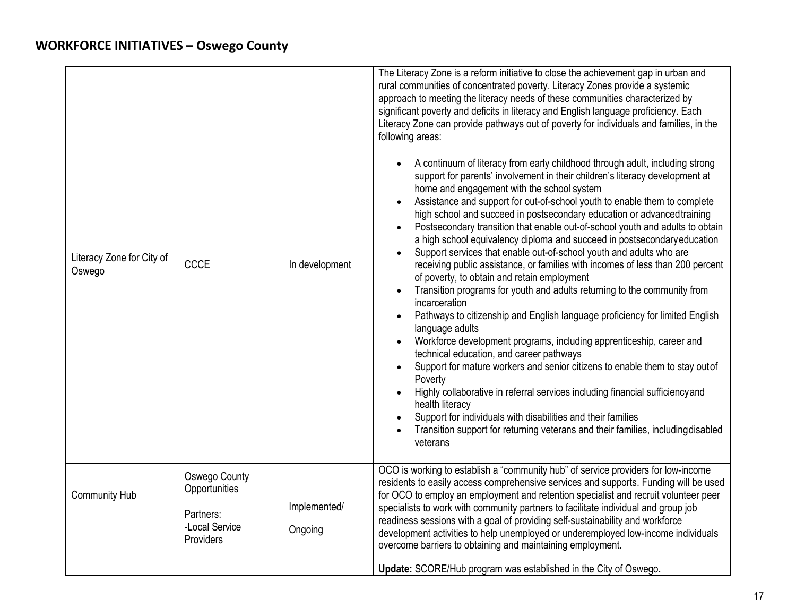| Literacy Zone for City of<br>Oswego | <b>CCCE</b>                                                                       | In development          | The Literacy Zone is a reform initiative to close the achievement gap in urban and<br>rural communities of concentrated poverty. Literacy Zones provide a systemic<br>approach to meeting the literacy needs of these communities characterized by<br>significant poverty and deficits in literacy and English language proficiency. Each<br>Literacy Zone can provide pathways out of poverty for individuals and families, in the<br>following areas:<br>A continuum of literacy from early childhood through adult, including strong<br>support for parents' involvement in their children's literacy development at<br>home and engagement with the school system<br>Assistance and support for out-of-school youth to enable them to complete<br>high school and succeed in postsecondary education or advanced training<br>Postsecondary transition that enable out-of-school youth and adults to obtain<br>a high school equivalency diploma and succeed in postsecondary education<br>Support services that enable out-of-school youth and adults who are<br>receiving public assistance, or families with incomes of less than 200 percent<br>of poverty, to obtain and retain employment<br>Transition programs for youth and adults returning to the community from<br>incarceration<br>Pathways to citizenship and English language proficiency for limited English<br>language adults<br>Workforce development programs, including apprenticeship, career and<br>$\bullet$<br>technical education, and career pathways<br>Support for mature workers and senior citizens to enable them to stay out of<br>Poverty<br>Highly collaborative in referral services including financial sufficiency and<br>health literacy<br>Support for individuals with disabilities and their families<br>Transition support for returning veterans and their families, including disabled<br>veterans |
|-------------------------------------|-----------------------------------------------------------------------------------|-------------------------|----------------------------------------------------------------------------------------------------------------------------------------------------------------------------------------------------------------------------------------------------------------------------------------------------------------------------------------------------------------------------------------------------------------------------------------------------------------------------------------------------------------------------------------------------------------------------------------------------------------------------------------------------------------------------------------------------------------------------------------------------------------------------------------------------------------------------------------------------------------------------------------------------------------------------------------------------------------------------------------------------------------------------------------------------------------------------------------------------------------------------------------------------------------------------------------------------------------------------------------------------------------------------------------------------------------------------------------------------------------------------------------------------------------------------------------------------------------------------------------------------------------------------------------------------------------------------------------------------------------------------------------------------------------------------------------------------------------------------------------------------------------------------------------------------------------------------------------------------------------------------------------------------|
| <b>Community Hub</b>                | <b>Oswego County</b><br>Opportunities<br>Partners:<br>-Local Service<br>Providers | Implemented/<br>Ongoing | OCO is working to establish a "community hub" of service providers for low-income<br>residents to easily access comprehensive services and supports. Funding will be used<br>for OCO to employ an employment and retention specialist and recruit volunteer peer<br>specialists to work with community partners to facilitate individual and group job<br>readiness sessions with a goal of providing self-sustainability and workforce<br>development activities to help unemployed or underemployed low-income individuals<br>overcome barriers to obtaining and maintaining employment.<br>Update: SCORE/Hub program was established in the City of Oswego.                                                                                                                                                                                                                                                                                                                                                                                                                                                                                                                                                                                                                                                                                                                                                                                                                                                                                                                                                                                                                                                                                                                                                                                                                                     |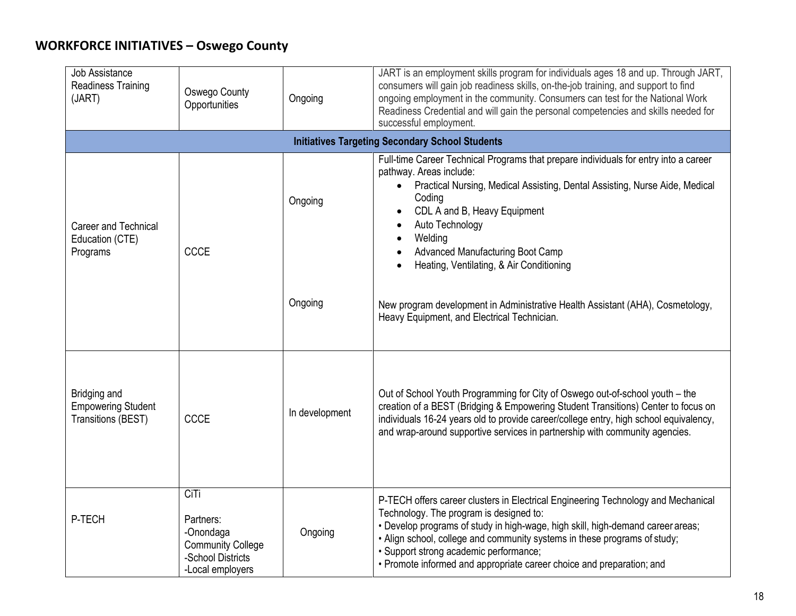| Job Assistance<br>Readiness Training<br>(JART)                  | Oswego County<br>Opportunities                                                                      | Ongoing        | JART is an employment skills program for individuals ages 18 and up. Through JART,<br>consumers will gain job readiness skills, on-the-job training, and support to find<br>ongoing employment in the community. Consumers can test for the National Work<br>Readiness Credential and will gain the personal competencies and skills needed for<br>successful employment.                                       |
|-----------------------------------------------------------------|-----------------------------------------------------------------------------------------------------|----------------|-----------------------------------------------------------------------------------------------------------------------------------------------------------------------------------------------------------------------------------------------------------------------------------------------------------------------------------------------------------------------------------------------------------------|
|                                                                 |                                                                                                     |                | <b>Initiatives Targeting Secondary School Students</b>                                                                                                                                                                                                                                                                                                                                                          |
| <b>Career and Technical</b><br>Education (CTE)<br>Programs      | <b>CCCE</b>                                                                                         | Ongoing        | Full-time Career Technical Programs that prepare individuals for entry into a career<br>pathway. Areas include:<br>Practical Nursing, Medical Assisting, Dental Assisting, Nurse Aide, Medical<br>$\bullet$<br>Coding<br>CDL A and B, Heavy Equipment<br>$\bullet$<br>Auto Technology<br>Welding<br>Advanced Manufacturing Boot Camp<br>Heating, Ventilating, & Air Conditioning                                |
|                                                                 |                                                                                                     | Ongoing        | New program development in Administrative Health Assistant (AHA), Cosmetology,<br>Heavy Equipment, and Electrical Technician.                                                                                                                                                                                                                                                                                   |
| Bridging and<br><b>Empowering Student</b><br>Transitions (BEST) | CCCE                                                                                                | In development | Out of School Youth Programming for City of Oswego out-of-school youth - the<br>creation of a BEST (Bridging & Empowering Student Transitions) Center to focus on<br>individuals 16-24 years old to provide career/college entry, high school equivalency,<br>and wrap-around supportive services in partnership with community agencies.                                                                       |
| P-TECH                                                          | CiTi<br>Partners:<br>-Onondaga<br><b>Community College</b><br>-School Districts<br>-Local employers | Ongoing        | P-TECH offers career clusters in Electrical Engineering Technology and Mechanical<br>Technology. The program is designed to:<br>• Develop programs of study in high-wage, high skill, high-demand career areas;<br>• Align school, college and community systems in these programs of study;<br>· Support strong academic performance;<br>• Promote informed and appropriate career choice and preparation; and |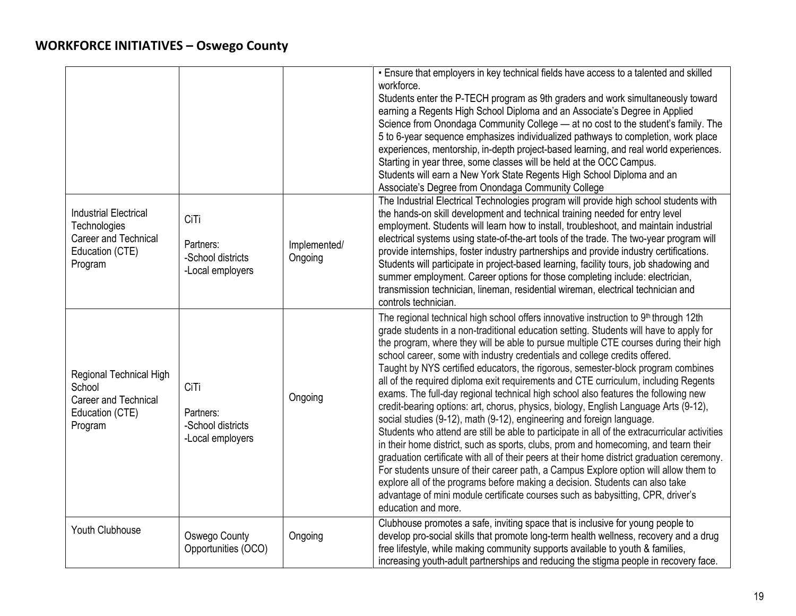|                                                                                                    |                                                            |                         | . Ensure that employers in key technical fields have access to a talented and skilled<br>workforce.<br>Students enter the P-TECH program as 9th graders and work simultaneously toward<br>earning a Regents High School Diploma and an Associate's Degree in Applied<br>Science from Onondaga Community College - at no cost to the student's family. The<br>5 to 6-year sequence emphasizes individualized pathways to completion, work place<br>experiences, mentorship, in-depth project-based learning, and real world experiences.<br>Starting in year three, some classes will be held at the OCC Campus.<br>Students will earn a New York State Regents High School Diploma and an<br>Associate's Degree from Onondaga Community College                                                                                                                                                                                                                                                                                                                                                                                                                                                                                                                                                                                                                 |
|----------------------------------------------------------------------------------------------------|------------------------------------------------------------|-------------------------|-----------------------------------------------------------------------------------------------------------------------------------------------------------------------------------------------------------------------------------------------------------------------------------------------------------------------------------------------------------------------------------------------------------------------------------------------------------------------------------------------------------------------------------------------------------------------------------------------------------------------------------------------------------------------------------------------------------------------------------------------------------------------------------------------------------------------------------------------------------------------------------------------------------------------------------------------------------------------------------------------------------------------------------------------------------------------------------------------------------------------------------------------------------------------------------------------------------------------------------------------------------------------------------------------------------------------------------------------------------------|
| <b>Industrial Electrical</b><br>Technologies<br>Career and Technical<br>Education (CTE)<br>Program | CiTi<br>Partners:<br>-School districts<br>-Local employers | Implemented/<br>Ongoing | The Industrial Electrical Technologies program will provide high school students with<br>the hands-on skill development and technical training needed for entry level<br>employment. Students will learn how to install, troubleshoot, and maintain industrial<br>electrical systems using state-of-the-art tools of the trade. The two-year program will<br>provide internships, foster industry partnerships and provide industry certifications.<br>Students will participate in project-based learning, facility tours, job shadowing and<br>summer employment. Career options for those completing include: electrician,<br>transmission technician, lineman, residential wireman, electrical technician and<br>controls technician.                                                                                                                                                                                                                                                                                                                                                                                                                                                                                                                                                                                                                       |
| Regional Technical High<br>School<br><b>Career and Technical</b><br>Education (CTE)<br>Program     | CiTi<br>Partners:<br>-School districts<br>-Local employers | Ongoing                 | The regional technical high school offers innovative instruction to 9th through 12th<br>grade students in a non-traditional education setting. Students will have to apply for<br>the program, where they will be able to pursue multiple CTE courses during their high<br>school career, some with industry credentials and college credits offered.<br>Taught by NYS certified educators, the rigorous, semester-block program combines<br>all of the required diploma exit requirements and CTE curriculum, including Regents<br>exams. The full-day regional technical high school also features the following new<br>credit-bearing options: art, chorus, physics, biology, English Language Arts (9-12),<br>social studies (9-12), math (9-12), engineering and foreign language.<br>Students who attend are still be able to participate in all of the extracurricular activities<br>in their home district, such as sports, clubs, prom and homecoming, and tearn their<br>graduation certificate with all of their peers at their home district graduation ceremony.<br>For students unsure of their career path, a Campus Explore option will allow them to<br>explore all of the programs before making a decision. Students can also take<br>advantage of mini module certificate courses such as babysitting, CPR, driver's<br>education and more. |
| Youth Clubhouse                                                                                    | <b>Oswego County</b><br>Opportunities (OCO)                | Ongoing                 | Clubhouse promotes a safe, inviting space that is inclusive for young people to<br>develop pro-social skills that promote long-term health wellness, recovery and a drug<br>free lifestyle, while making community supports available to youth & families,<br>increasing youth-adult partnerships and reducing the stigma people in recovery face.                                                                                                                                                                                                                                                                                                                                                                                                                                                                                                                                                                                                                                                                                                                                                                                                                                                                                                                                                                                                              |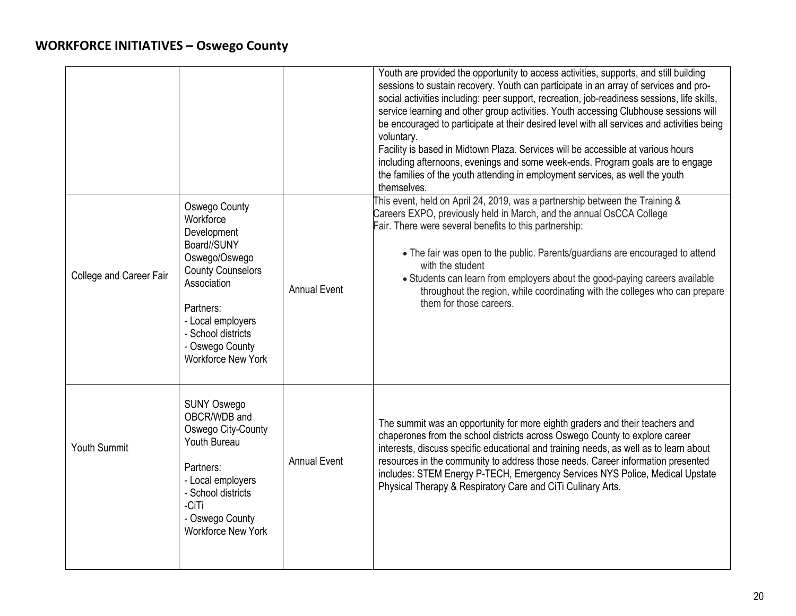|                         |                                                                                                                                                                                                                              |                     | Youth are provided the opportunity to access activities, supports, and still building<br>sessions to sustain recovery. Youth can participate in an array of services and pro-<br>social activities including: peer support, recreation, job-readiness sessions, life skills,<br>service learning and other group activities. Youth accessing Clubhouse sessions will<br>be encouraged to participate at their desired level with all services and activities being<br>voluntary.<br>Facility is based in Midtown Plaza. Services will be accessible at various hours<br>including afternoons, evenings and some week-ends. Program goals are to engage<br>the families of the youth attending in employment services, as well the youth<br>themselves. |
|-------------------------|------------------------------------------------------------------------------------------------------------------------------------------------------------------------------------------------------------------------------|---------------------|--------------------------------------------------------------------------------------------------------------------------------------------------------------------------------------------------------------------------------------------------------------------------------------------------------------------------------------------------------------------------------------------------------------------------------------------------------------------------------------------------------------------------------------------------------------------------------------------------------------------------------------------------------------------------------------------------------------------------------------------------------|
| College and Career Fair | Oswego County<br>Workforce<br>Development<br>Board//SUNY<br>Oswego/Oswego<br><b>County Counselors</b><br>Association<br>Partners:<br>- Local employers<br>- School districts<br>- Oswego County<br><b>Workforce New York</b> | <b>Annual Event</b> | This event, held on April 24, 2019, was a partnership between the Training &<br>Careers EXPO, previously held in March, and the annual OsCCA College<br>Fair. There were several benefits to this partnership:<br>• The fair was open to the public. Parents/guardians are encouraged to attend<br>with the student<br>• Students can learn from employers about the good-paying careers available<br>throughout the region, while coordinating with the colleges who can prepare<br>them for those careers.                                                                                                                                                                                                                                           |
| Youth Summit            | <b>SUNY Oswego</b><br>OBCR/WDB and<br>Oswego City-County<br><b>Youth Bureau</b><br>Partners:<br>- Local employers<br>- School districts<br>-CiTi<br>- Oswego County<br><b>Workforce New York</b>                             | <b>Annual Event</b> | The summit was an opportunity for more eighth graders and their teachers and<br>chaperones from the school districts across Oswego County to explore career<br>interests, discuss specific educational and training needs, as well as to learn about<br>resources in the community to address those needs. Career information presented<br>includes: STEM Energy P-TECH, Emergency Services NYS Police, Medical Upstate<br>Physical Therapy & Respiratory Care and CiTi Culinary Arts.                                                                                                                                                                                                                                                                 |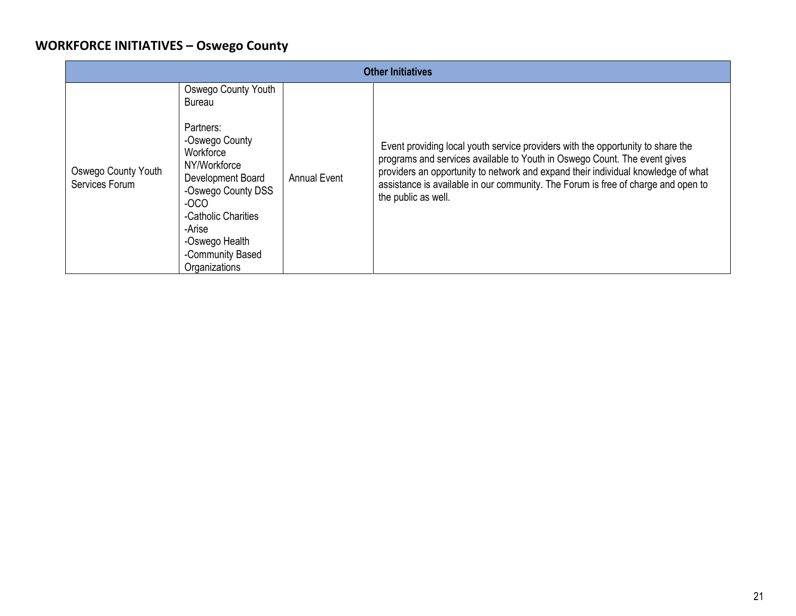| <b>Other Initiatives</b>                     |                                                                                                                                                                                                                                               |                     |                                                                                                                                                                                                                                                                                                                                                               |
|----------------------------------------------|-----------------------------------------------------------------------------------------------------------------------------------------------------------------------------------------------------------------------------------------------|---------------------|---------------------------------------------------------------------------------------------------------------------------------------------------------------------------------------------------------------------------------------------------------------------------------------------------------------------------------------------------------------|
| <b>Oswego County Youth</b><br>Services Forum | Oswego County Youth<br><b>Bureau</b><br>Partners:<br>-Oswego County<br>Workforce<br>NY/Workforce<br>Development Board<br>-Oswego County DSS<br>$-0CO$<br>-Catholic Charities<br>-Arise<br>-Oswego Health<br>-Community Based<br>Organizations | <b>Annual Event</b> | Event providing local youth service providers with the opportunity to share the<br>programs and services available to Youth in Oswego Count. The event gives<br>providers an opportunity to network and expand their individual knowledge of what<br>assistance is available in our community. The Forum is free of charge and open to<br>the public as well. |